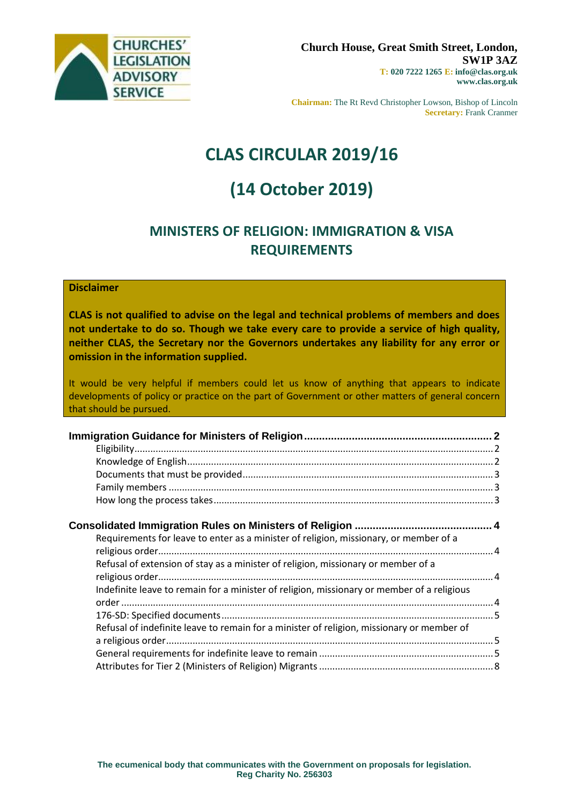

**Chairman:** The Rt Revd Christopher Lowson, Bishop of Lincoln **Secretary:** Frank Cranmer

# **CLAS CIRCULAR 2019/16**

# **(14 October 2019)**

# **MINISTERS OF RELIGION: IMMIGRATION & VISA REQUIREMENTS**

### **Disclaimer**

**CLAS is not qualified to advise on the legal and technical problems of members and does not undertake to do so. Though we take every care to provide a service of high quality, neither CLAS, the Secretary nor the Governors undertakes any liability for any error or omission in the information supplied.**

It would be very helpful if members could let us know of anything that appears to indicate developments of policy or practice on the part of Government or other matters of general concern that should be pursued.

| Requirements for leave to enter as a minister of religion, missionary, or member of a      |  |
|--------------------------------------------------------------------------------------------|--|
|                                                                                            |  |
| Refusal of extension of stay as a minister of religion, missionary or member of a          |  |
|                                                                                            |  |
| Indefinite leave to remain for a minister of religion, missionary or member of a religious |  |
|                                                                                            |  |
|                                                                                            |  |
| Refusal of indefinite leave to remain for a minister of religion, missionary or member of  |  |
|                                                                                            |  |
|                                                                                            |  |
|                                                                                            |  |
|                                                                                            |  |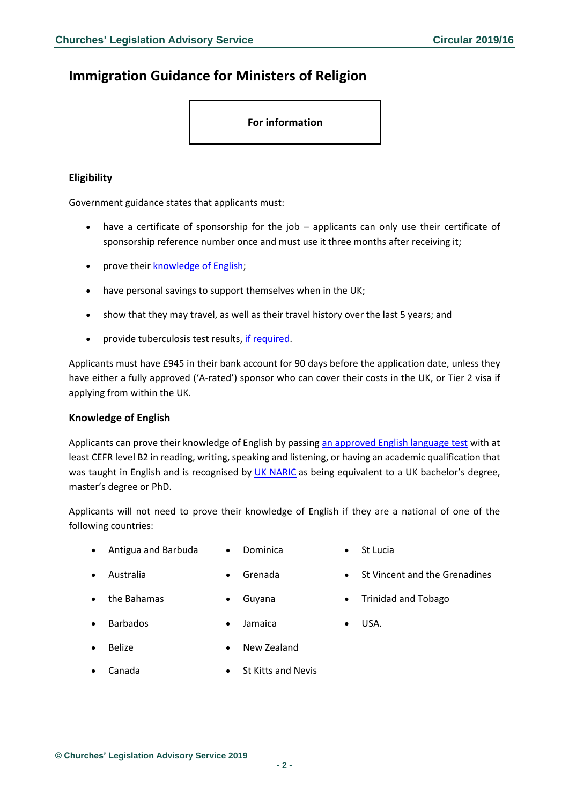# <span id="page-1-0"></span>**Immigration Guidance for Ministers of Religion**

**For information**

### <span id="page-1-1"></span>**Eligibility**

Government guidance states that applicants must:

- have a certificate of sponsorship for the job applicants can only use their certificate of sponsorship reference number once and must use it three months after receiving it;
- prove their **knowledge of English**;
- have personal savings to support themselves when in the UK;
- show that they may travel, as well as their travel history over the last 5 years; and
- provide tuberculosis test results, if [required.](https://www.gov.uk/tb-test-visa/countries-where-you-need-a-tb-test-to-enter-the-uk)

Applicants must have £945 in their bank account for 90 days before the application date, unless they have either a fully approved ('A-rated') sponsor who can cover their costs in the UK, or Tier 2 visa if applying from within the UK.

#### <span id="page-1-2"></span>**Knowledge of English**

Applicants can prove their knowledge of English by passing [an approved English language test](https://www.gov.uk/government/publications/guidance-on-applying-for-uk-visa-approved-english-language-tests) with at least CEFR level B2 in reading, writing, speaking and listening, or having an academic qualification that was taught in English and is recognised by [UK NARIC](http://www.naric.org.uk/visasandnationality) as being equivalent to a UK bachelor's degree, master's degree or PhD.

Applicants will not need to prove their knowledge of English if they are a national of one of the following countries:

- Antigua and Barbuda Dominica St Lucia
- Australia Grenada St Vincent and the Grenadines
	-
- 
- the Bahamas Guyana Trinidad and Tobago
	-
- Barbados Jamaica USA.
	-
- Belize New Zealand
- <span id="page-1-3"></span>• Canada • St Kitts and Nevis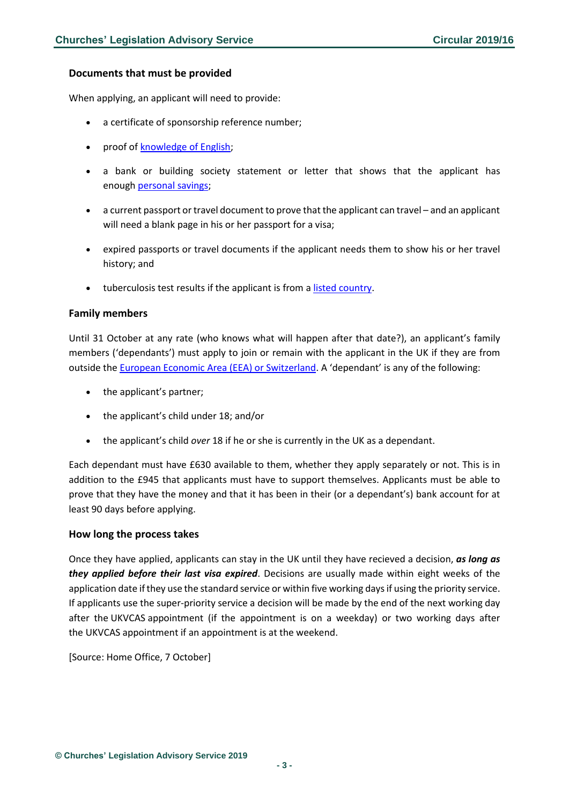#### **Documents that must be provided**

When applying, an applicant will need to provide:

- a certificate of sponsorship reference number;
- proof o[f knowledge of English;](https://www.gov.uk/tier-2-minister-of-religion-visa/knowledge-of-english)
- a bank or building society statement or letter that shows that the applicant has enough [personal savings;](https://www.gov.uk/tier-2-minister-of-religion-visa/eligibility)
- a current passport or travel document to prove that the applicant can travel and an applicant will need a blank page in his or her passport for a visa;
- expired passports or travel documents if the applicant needs them to show his or her travel history; and
- tuberculosis test results if the applicant is from a listed [country.](https://www.gov.uk/tb-test-visa/countries-where-you-need-a-tb-test-to-enter-the-uk)

#### <span id="page-2-0"></span>**Family members**

Until 31 October at any rate (who knows what will happen after that date?), an applicant's family members ('dependants') must apply to join or remain with the applicant in the UK if they are from outside the [European Economic Area \(EEA\) or Switzerland.](https://www.gov.uk/eu-eea) A 'dependant' is any of the following:

- the applicant's partner;
- the applicant's child under 18; and/or
- the applicant's child *over* 18 if he or she is currently in the UK as a dependant.

Each dependant must have £630 available to them, whether they apply separately or not. This is in addition to the £945 that applicants must have to support themselves. Applicants must be able to prove that they have the money and that it has been in their (or a dependant's) bank account for at least 90 days before applying.

#### <span id="page-2-1"></span>**How long the process takes**

Once they have applied, applicants can stay in the UK until they have recieved a decision, *as long as they applied before their last visa expired*. Decisions are usually made within eight weeks of the application date if they use the standard service or within five working days if using the priority service. If applicants use the super-priority service a decision will be made by the end of the next working day after the UKVCAS appointment (if the appointment is on a weekday) or two working days after the UKVCAS appointment if an appointment is at the weekend.

[Source: Home Office, 7 October]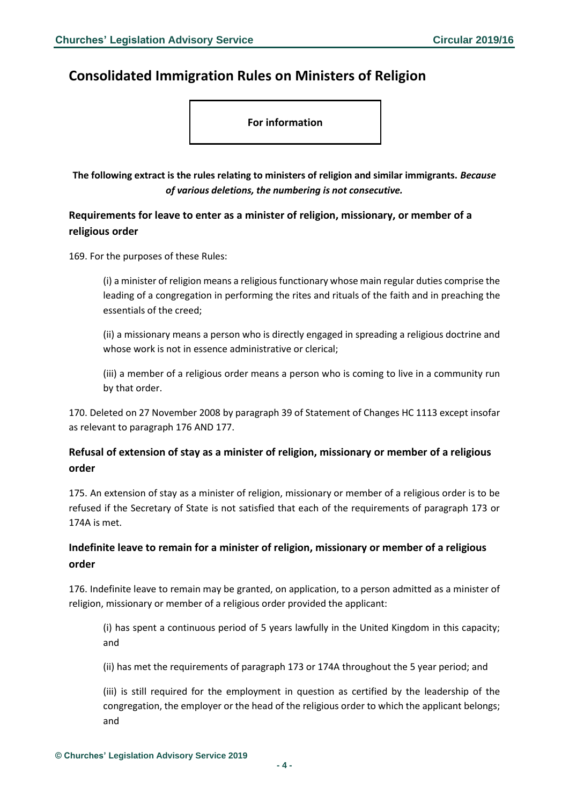# <span id="page-3-0"></span>**Consolidated Immigration Rules on Ministers of Religion**

**For information**

**The following extract is the rules relating to ministers of religion and similar immigrants.** *Because of various deletions, the numbering is not consecutive.*

<span id="page-3-1"></span>**Requirements for leave to enter as a minister of religion, missionary, or member of a religious order**

169. For the purposes of these Rules:

(i) a minister of religion means a religious functionary whose main regular duties comprise the leading of a congregation in performing the rites and rituals of the faith and in preaching the essentials of the creed;

(ii) a missionary means a person who is directly engaged in spreading a religious doctrine and whose work is not in essence administrative or clerical;

(iii) a member of a religious order means a person who is coming to live in a community run by that order.

170. Deleted on 27 November 2008 by paragraph 39 of Statement of Changes HC 1113 except insofar as relevant to paragraph 176 AND 177.

## <span id="page-3-2"></span>**Refusal of extension of stay as a minister of religion, missionary or member of a religious order**

175. An extension of stay as a minister of religion, missionary or member of a religious order is to be refused if the Secretary of State is not satisfied that each of the requirements of paragraph 173 or 174A is met.

## <span id="page-3-3"></span>**Indefinite leave to remain for a minister of religion, missionary or member of a religious order**

176. Indefinite leave to remain may be granted, on application, to a person admitted as a minister of religion, missionary or member of a religious order provided the applicant:

(i) has spent a continuous period of 5 years lawfully in the United Kingdom in this capacity; and

(ii) has met the requirements of paragraph 173 or 174A throughout the 5 year period; and

(iii) is still required for the employment in question as certified by the leadership of the congregation, the employer or the head of the religious order to which the applicant belongs; and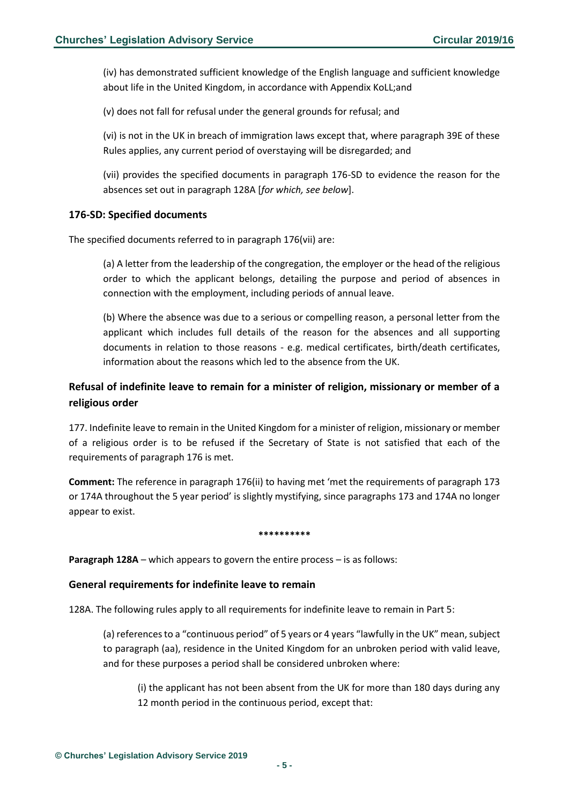(iv) has demonstrated sufficient knowledge of the English language and sufficient knowledge about life in the United Kingdom, in accordance with Appendix KoLL;and

(v) does not fall for refusal under the general grounds for refusal; and

(vi) is not in the UK in breach of immigration laws except that, where paragraph 39E of these Rules applies, any current period of overstaying will be disregarded; and

(vii) provides the specified documents in paragraph 176-SD to evidence the reason for the absences set out in paragraph 128A [*for which, see below*].

#### <span id="page-4-0"></span>**176-SD: Specified documents**

The specified documents referred to in paragraph 176(vii) are:

(a) A letter from the leadership of the congregation, the employer or the head of the religious order to which the applicant belongs, detailing the purpose and period of absences in connection with the employment, including periods of annual leave.

(b) Where the absence was due to a serious or compelling reason, a personal letter from the applicant which includes full details of the reason for the absences and all supporting documents in relation to those reasons - e.g. medical certificates, birth/death certificates, information about the reasons which led to the absence from the UK.

## <span id="page-4-1"></span>**Refusal of indefinite leave to remain for a minister of religion, missionary or member of a religious order**

177. Indefinite leave to remain in the United Kingdom for a minister of religion, missionary or member of a religious order is to be refused if the Secretary of State is not satisfied that each of the requirements of paragraph 176 is met.

**Comment:** The reference in paragraph 176(ii) to having met 'met the requirements of paragraph 173 or 174A throughout the 5 year period' is slightly mystifying, since paragraphs 173 and 174A no longer appear to exist.

#### **\*\*\*\*\*\*\*\*\*\***

**Paragraph 128A** – which appears to govern the entire process – is as follows:

#### <span id="page-4-2"></span>**General requirements for indefinite leave to remain**

128A. The following rules apply to all requirements for indefinite leave to remain in Part 5:

(a) references to a "continuous period" of 5 years or 4 years "lawfully in the UK" mean, subject to paragraph (aa), residence in the United Kingdom for an unbroken period with valid leave, and for these purposes a period shall be considered unbroken where:

(i) the applicant has not been absent from the UK for more than 180 days during any 12 month period in the continuous period, except that: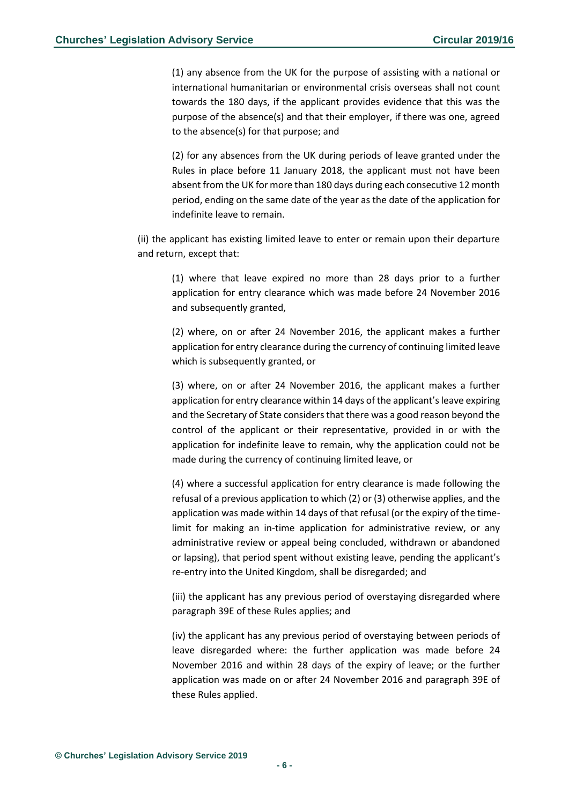(1) any absence from the UK for the purpose of assisting with a national or international humanitarian or environmental crisis overseas shall not count towards the 180 days, if the applicant provides evidence that this was the purpose of the absence(s) and that their employer, if there was one, agreed to the absence(s) for that purpose; and

(2) for any absences from the UK during periods of leave granted under the Rules in place before 11 January 2018, the applicant must not have been absent from the UK for more than 180 days during each consecutive 12 month period, ending on the same date of the year as the date of the application for indefinite leave to remain.

(ii) the applicant has existing limited leave to enter or remain upon their departure and return, except that:

(1) where that leave expired no more than 28 days prior to a further application for entry clearance which was made before 24 November 2016 and subsequently granted,

(2) where, on or after 24 November 2016, the applicant makes a further application for entry clearance during the currency of continuing limited leave which is subsequently granted, or

(3) where, on or after 24 November 2016, the applicant makes a further application for entry clearance within 14 days of the applicant's leave expiring and the Secretary of State considers that there was a good reason beyond the control of the applicant or their representative, provided in or with the application for indefinite leave to remain, why the application could not be made during the currency of continuing limited leave, or

(4) where a successful application for entry clearance is made following the refusal of a previous application to which (2) or (3) otherwise applies, and the application was made within 14 days of that refusal (or the expiry of the timelimit for making an in-time application for administrative review, or any administrative review or appeal being concluded, withdrawn or abandoned or lapsing), that period spent without existing leave, pending the applicant's re-entry into the United Kingdom, shall be disregarded; and

(iii) the applicant has any previous period of overstaying disregarded where paragraph 39E of these Rules applies; and

(iv) the applicant has any previous period of overstaying between periods of leave disregarded where: the further application was made before 24 November 2016 and within 28 days of the expiry of leave; or the further application was made on or after 24 November 2016 and paragraph 39E of these Rules applied.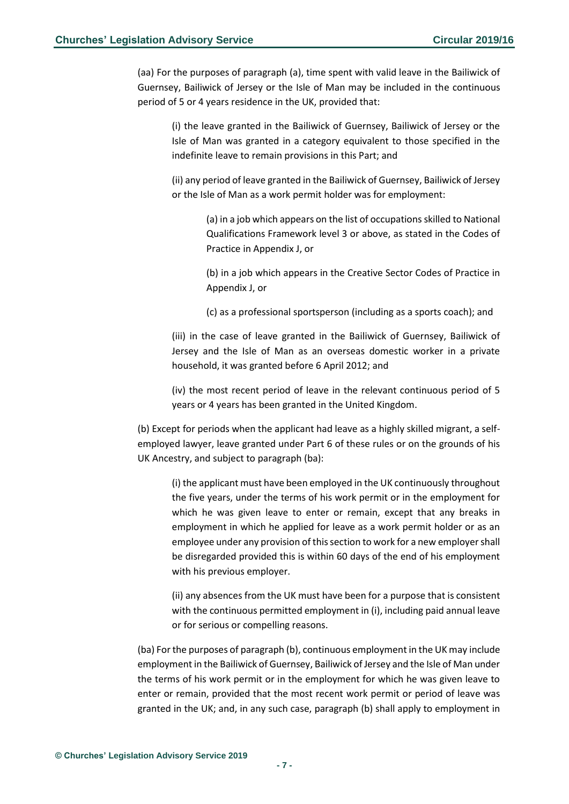(aa) For the purposes of paragraph (a), time spent with valid leave in the Bailiwick of Guernsey, Bailiwick of Jersey or the Isle of Man may be included in the continuous period of 5 or 4 years residence in the UK, provided that:

(i) the leave granted in the Bailiwick of Guernsey, Bailiwick of Jersey or the Isle of Man was granted in a category equivalent to those specified in the indefinite leave to remain provisions in this Part; and

(ii) any period of leave granted in the Bailiwick of Guernsey, Bailiwick of Jersey or the Isle of Man as a work permit holder was for employment:

> (a) in a job which appears on the list of occupations skilled to National Qualifications Framework level 3 or above, as stated in the Codes of Practice in Appendix J, or

> (b) in a job which appears in the Creative Sector Codes of Practice in Appendix J, or

(c) as a professional sportsperson (including as a sports coach); and

(iii) in the case of leave granted in the Bailiwick of Guernsey, Bailiwick of Jersey and the Isle of Man as an overseas domestic worker in a private household, it was granted before 6 April 2012; and

(iv) the most recent period of leave in the relevant continuous period of 5 years or 4 years has been granted in the United Kingdom.

(b) Except for periods when the applicant had leave as a highly skilled migrant, a selfemployed lawyer, leave granted under Part 6 of these rules or on the grounds of his UK Ancestry, and subject to paragraph (ba):

(i) the applicant must have been employed in the UK continuously throughout the five years, under the terms of his work permit or in the employment for which he was given leave to enter or remain, except that any breaks in employment in which he applied for leave as a work permit holder or as an employee under any provision of this section to work for a new employer shall be disregarded provided this is within 60 days of the end of his employment with his previous employer.

(ii) any absences from the UK must have been for a purpose that is consistent with the continuous permitted employment in (i), including paid annual leave or for serious or compelling reasons.

(ba) For the purposes of paragraph (b), continuous employment in the UK may include employment in the Bailiwick of Guernsey, Bailiwick of Jersey and the Isle of Man under the terms of his work permit or in the employment for which he was given leave to enter or remain, provided that the most recent work permit or period of leave was granted in the UK; and, in any such case, paragraph (b) shall apply to employment in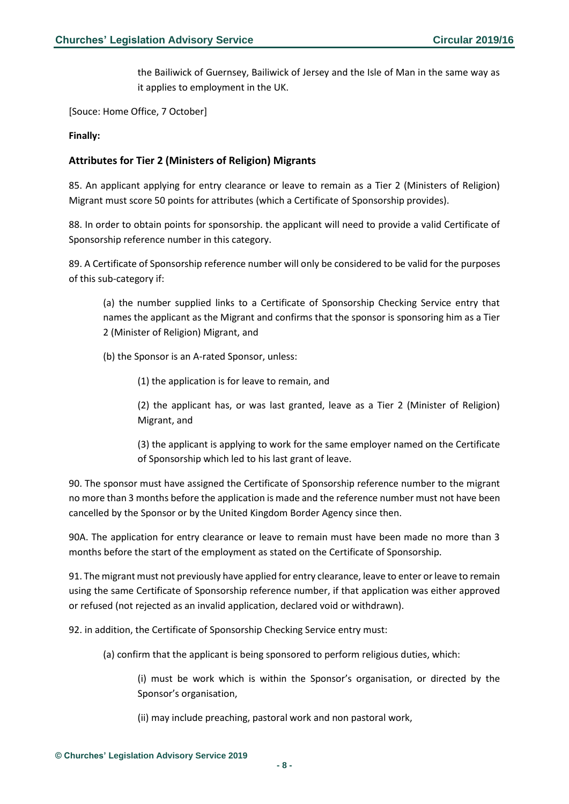the Bailiwick of Guernsey, Bailiwick of Jersey and the Isle of Man in the same way as it applies to employment in the UK.

[Souce: Home Office, 7 October]

**Finally:**

#### <span id="page-7-0"></span>**Attributes for Tier 2 (Ministers of Religion) Migrants**

85. An applicant applying for entry clearance or leave to remain as a Tier 2 (Ministers of Religion) Migrant must score 50 points for attributes (which a Certificate of Sponsorship provides).

88. In order to obtain points for sponsorship. the applicant will need to provide a valid Certificate of Sponsorship reference number in this category.

89. A Certificate of Sponsorship reference number will only be considered to be valid for the purposes of this sub-category if:

(a) the number supplied links to a Certificate of Sponsorship Checking Service entry that names the applicant as the Migrant and confirms that the sponsor is sponsoring him as a Tier 2 (Minister of Religion) Migrant, and

(b) the Sponsor is an A-rated Sponsor, unless:

(1) the application is for leave to remain, and

(2) the applicant has, or was last granted, leave as a Tier 2 (Minister of Religion) Migrant, and

(3) the applicant is applying to work for the same employer named on the Certificate of Sponsorship which led to his last grant of leave.

90. The sponsor must have assigned the Certificate of Sponsorship reference number to the migrant no more than 3 months before the application is made and the reference number must not have been cancelled by the Sponsor or by the United Kingdom Border Agency since then.

90A. The application for entry clearance or leave to remain must have been made no more than 3 months before the start of the employment as stated on the Certificate of Sponsorship.

91. The migrant must not previously have applied for entry clearance, leave to enter or leave to remain using the same Certificate of Sponsorship reference number, if that application was either approved or refused (not rejected as an invalid application, declared void or withdrawn).

92. in addition, the Certificate of Sponsorship Checking Service entry must:

(a) confirm that the applicant is being sponsored to perform religious duties, which:

(i) must be work which is within the Sponsor's organisation, or directed by the Sponsor's organisation,

(ii) may include preaching, pastoral work and non pastoral work,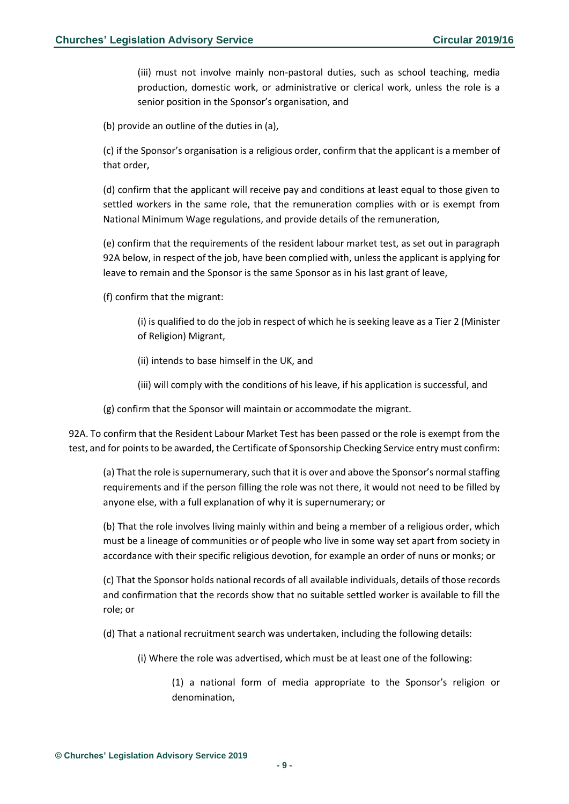(iii) must not involve mainly non-pastoral duties, such as school teaching, media production, domestic work, or administrative or clerical work, unless the role is a senior position in the Sponsor's organisation, and

(b) provide an outline of the duties in (a),

(c) if the Sponsor's organisation is a religious order, confirm that the applicant is a member of that order,

(d) confirm that the applicant will receive pay and conditions at least equal to those given to settled workers in the same role, that the remuneration complies with or is exempt from National Minimum Wage regulations, and provide details of the remuneration,

(e) confirm that the requirements of the resident labour market test, as set out in paragraph 92A below, in respect of the job, have been complied with, unless the applicant is applying for leave to remain and the Sponsor is the same Sponsor as in his last grant of leave,

(f) confirm that the migrant:

(i) is qualified to do the job in respect of which he is seeking leave as a Tier 2 (Minister of Religion) Migrant,

(ii) intends to base himself in the UK, and

(iii) will comply with the conditions of his leave, if his application is successful, and

(g) confirm that the Sponsor will maintain or accommodate the migrant.

92A. To confirm that the Resident Labour Market Test has been passed or the role is exempt from the test, and for points to be awarded, the Certificate of Sponsorship Checking Service entry must confirm:

(a) That the role is supernumerary, such that it is over and above the Sponsor's normal staffing requirements and if the person filling the role was not there, it would not need to be filled by anyone else, with a full explanation of why it is supernumerary; or

(b) That the role involves living mainly within and being a member of a religious order, which must be a lineage of communities or of people who live in some way set apart from society in accordance with their specific religious devotion, for example an order of nuns or monks; or

(c) That the Sponsor holds national records of all available individuals, details of those records and confirmation that the records show that no suitable settled worker is available to fill the role; or

(d) That a national recruitment search was undertaken, including the following details:

(i) Where the role was advertised, which must be at least one of the following:

(1) a national form of media appropriate to the Sponsor's religion or denomination,